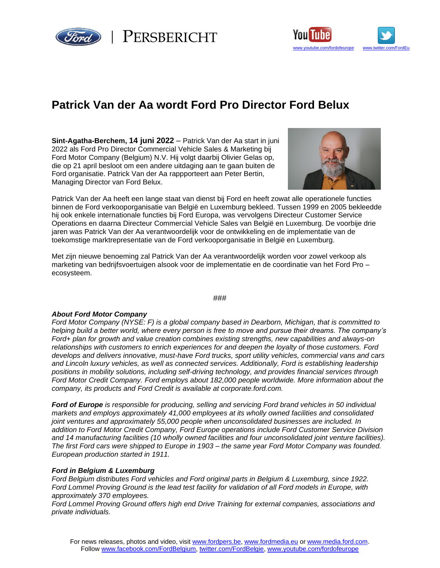

PERSBERICHT



## **Patrick Van der Aa wordt Ford Pro Director Ford Belux**

**Sint-Agatha-Berchem, 14 juni 2022** – Patrick Van der Aa start in juni 2022 als Ford Pro Director Commercial Vehicle Sales & Marketing bij Ford Motor Company (Belgium) N.V. Hij volgt daarbij Olivier Gelas op, die op 21 april besloot om een andere uitdaging aan te gaan buiten de Ford organisatie. Patrick Van der Aa rappporteert aan Peter Bertin, Managing Director van Ford Belux.



Patrick Van der Aa heeft een lange staat van dienst bij Ford en heeft zowat alle operationele functies binnen de Ford verkooporganisatie van België en Luxemburg bekleed. Tussen 1999 en 2005 bekleedde hij ook enkele internationale functies bij Ford Europa, was vervolgens Directeur Customer Service Operations en daarna Directeur Commercial Vehicle Sales van België en Luxemburg. De voorbije drie jaren was Patrick Van der Aa verantwoordelijk voor de ontwikkeling en de implementatie van de toekomstige marktrepresentatie van de Ford verkooporganisatie in België en Luxemburg.

Met zijn nieuwe benoeming zal Patrick Van der Aa verantwoordelijk worden voor zowel verkoop als marketing van bedrijfsvoertuigen alsook voor de implementatie en de coordinatie van het Ford Pro – ecosysteem.

## ###

## *About Ford Motor Company*

*Ford Motor Company (NYSE: F) is a global company based in Dearborn, Michigan, that is committed to helping build a better world, where every person is free to move and pursue their dreams. The company's Ford+ plan for growth and value creation combines existing strengths, new capabilities and always-on relationships with customers to enrich experiences for and deepen the loyalty of those customers. Ford develops and delivers innovative, must-have Ford trucks, sport utility vehicles, commercial vans and cars and Lincoln luxury vehicles, as well as connected services. Additionally, Ford is establishing leadership positions in mobility solutions, including self-driving technology, and provides financial services through Ford Motor Credit Company. Ford employs about 182,000 people worldwide. More information about the company, its products and Ford Credit is available at corporate.ford.com.*

*Ford of Europe is responsible for producing, selling and servicing Ford brand vehicles in 50 individual markets and employs approximately 41,000 employees at its wholly owned facilities and consolidated joint ventures and approximately 55,000 people when unconsolidated businesses are included. In addition to Ford Motor Credit Company, Ford Europe operations include Ford Customer Service Division and 14 manufacturing facilities (10 wholly owned facilities and four unconsolidated joint venture facilities). The first Ford cars were shipped to Europe in 1903 – the same year Ford Motor Company was founded. European production started in 1911.*

## *Ford in Belgium & Luxemburg*

*Ford Belgium distributes Ford vehicles and Ford original parts in Belgium & Luxemburg, since 1922.* Ford Lommel Proving Ground is the lead test facility for validation of all Ford models in Europe, with *approximately 370 employees.*

*Ford Lommel Proving Ground offers high end Drive Training for external companies, associations and private individuals.*